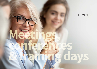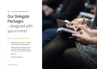# Our Delegate Packages – designed with you in mind

#### **All our delegate packages include:**

- A dedicated event planner to assist you through the planning process
- A dedicated host on the day of your event who will be available to you from your arrival until your departure
- Room hire
- Conference stationery

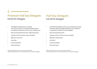### **Premium Full Day Delegate** £45.00 Per Delegate

- Full English breakfast prior to meeting (served 7am to 9am in The Royal Toby Restaurant) or breakfast sandwiches served in your meeting room
- Mid-morning refreshments (tea, coffee & fruit juice)
- Conference lunch (various menus available)
- Afternoon cream tea
- Iced water
- Screen & projector
- Flip chart & pens

\*Add an evening meal in one of our two unique restaurants (The Royal Toby Restaurant or Cenetta Ristorante) for only £19.00 per delegate

### **Full Day Delegate** £35.00 Per Delegate

- Continental breakfast served in your meeting room along with tea & coffee. Breakfast sandwiches are available at a supplement charge of £2.50 per delegate
- Mid-morning refreshments
- Conference lunch (various menus available)
- Afternoon refreshments
- Iced water
- Screen & projector
- Flip chart & pens

\*Add an evening meal in one of our two unique restaurants (The Royal Toby Restaurant or Cenetta Ristorante) for only £19.00 per delegate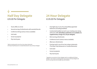**Half Day Delegate**  £25.00 Per Delegate

- Tea & coffee on arrival
- Second serving of refreshments with assorted biscuits
- Conference dining (various menus available)
- Iced water
- Screen & projector
- Flip chart & pens

\*Add an evening meal in one of our two unique restaurants (The Royal Toby Restaurant or Cenetta Ristorante) for only £19.00 per delegate

### **24 Hour Delegate**  £135.00 Per Delegate

- Overnight stay in one of our beautifully appointed bedrooms (including breakfast)
- Continental breakfast served in your meeting room along with tea & coffee **(Breakfast sandwiches are available at a supplementary charge of £2.50 per delegate)**
- Mid-morning refreshments
- Conference lunch (various menus available)
- Afternoon refreshments
- Evening meal in one of our two unique restaurants (The Royal Toby Restaurant or Cenetta Ristorante)
- Iced water
- Screen & projector
- Flip chart & pens

\*Upgrade to our premium 24 hour delegate rate for an additional £5.00 per delegate. This includes everything listed in the premium full day delegate rate plus an evening meal and overnight stay with breakfast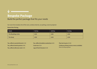# **Bespoke Package**

Build the perfect package that fits your needs

Our room hire includes; hire of the room, wireless internet, car parking, screen & projector

#### **Room Hire Pricing**

| <b>Room</b>         | <b>Full Day</b> | <b>Half Day</b> | Evening |
|---------------------|-----------------|-----------------|---------|
| The Rhyddings Suite | £500            | £300            | £300    |
| <b>The Study</b>    | £250            | £150            | £150    |

| Tea, coffee & assorted biscuits £3.50 |
|---------------------------------------|
| Tea, coffee & Danish pastries £4.95   |
| Tea, coffee & afternoon cake £4.95    |

**Tea, coffee & breakfast sandwiches** £6.95 **Cream tea** £5.00 **Jugs of fresh fruit juice** £5.00

**Flip chart & pens** £25.00 **Conference dining (various menus available)**  from £13.95 per person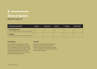## y **Sizes & Spaces**  What fits where?

| <b>Event Space Capacities</b>                                                          | <b>Theatre</b> | Classroom | Cabaret | U-Shape | <b>Boardroom</b> |
|----------------------------------------------------------------------------------------|----------------|-----------|---------|---------|------------------|
| <b>The Rhyddings Suite</b><br>(18.7 metres long x 9.83 metres wide x 2.87 metres high) | 100            | 60        | 100     | 30      | 40               |
| <b>The Study</b><br>(8.73 metres long x 6.91 metres wide x 2.57 metres high)           | 50             | -         |         | 15      | 20               |

#### **The Rhyddings**

Our premier function suite offers a very grand location for your meeting, conference, or training day. The Rhyddings is fully self-contained with its own kitchen, bar and cloakroom facilities. Located in a separate building from the main hotel, you will be sure to enjoy the privacy and convenience provided by this exceptional venue.

#### **The Study**

Located to the rear of the Royal Toby Restaurant, the Study is a superb venue for an informal meeting, training session or private dining. Private access is available and the study is located adjacent to the restaurant cloakroom.